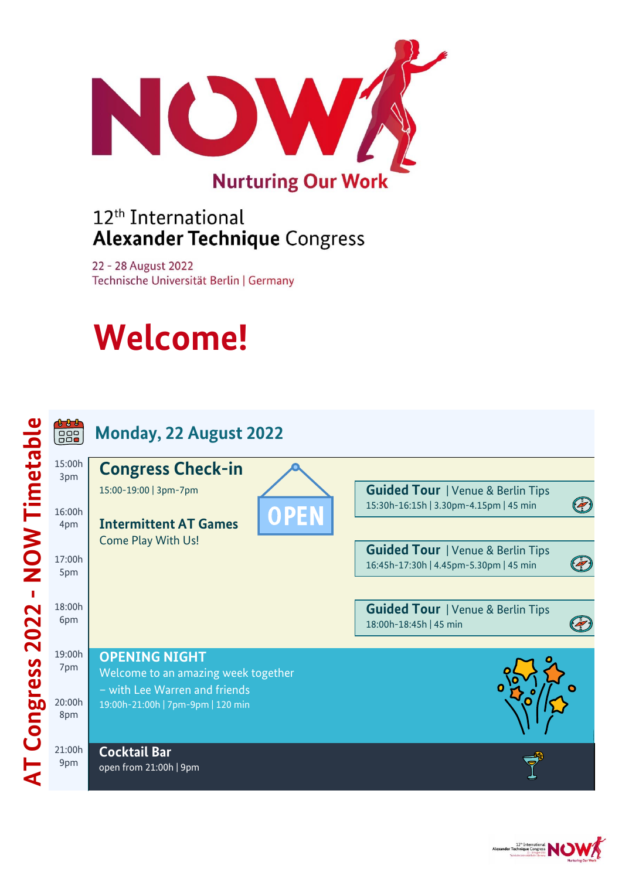

### 12<sup>th</sup> International **Alexander Technique Congress**

22 - 28 August 2022 Technische Universität Berlin | Germany

# **Welcome!**



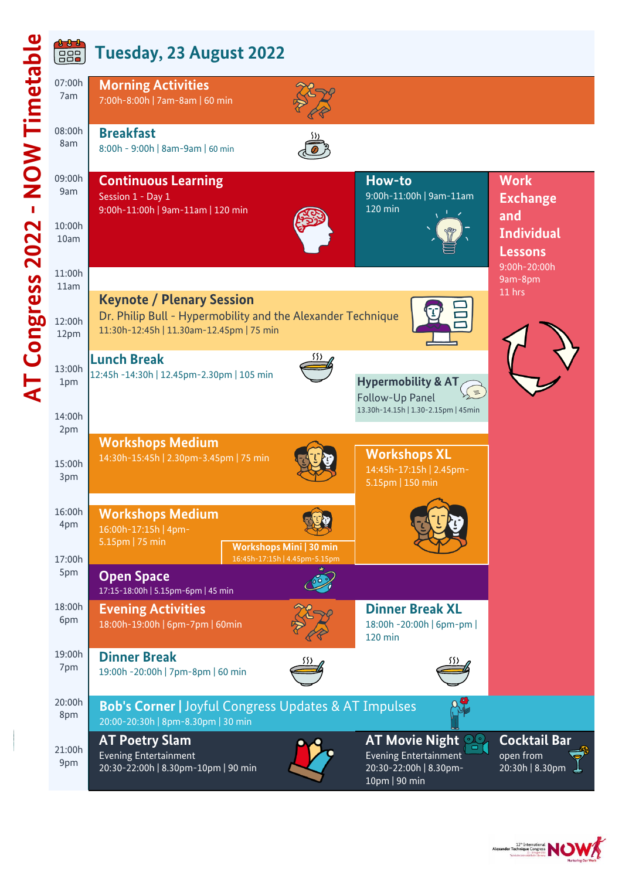| l                                                                                        |  |
|------------------------------------------------------------------------------------------|--|
|                                                                                          |  |
|                                                                                          |  |
| ï                                                                                        |  |
|                                                                                          |  |
|                                                                                          |  |
|                                                                                          |  |
| $\mathfrak{c}% _{i}^{\prime}=\mathfrak{c}_{i}%$<br>$\frac{1}{2}$                         |  |
| $\mathcal{L}(\mathcal{L})$ and $\mathcal{L}(\mathcal{L})$ and $\mathcal{L}(\mathcal{L})$ |  |
|                                                                                          |  |
|                                                                                          |  |
| ı<br>I                                                                                   |  |
|                                                                                          |  |
|                                                                                          |  |
| C                                                                                        |  |
|                                                                                          |  |
| I                                                                                        |  |
| [                                                                                        |  |

**1 1 1**  $722$ 

### **Tuesday, 23 August 2022**



**Dinner Break**  19:00h -20:00h | 7pm-8pm | 60 min



20:00h 8pm **Bob's Corner |** Joyful Congress Updates & AT Impulses 20:00-20:30h | 8pm-8.30pm | 30 min

21:00h **AT Poetry Slam** Evening Entertainment 20:30-22:00h | 8.30pm-10pm | 90 min

9pm

19:00h 7pm

> **AT Movie Night** Evening Entertainment 20:30-22:00h | 8.30pm-10pm | 90 min

120 min

**Cocktail Bar** open from 20:30h | 8.30pm

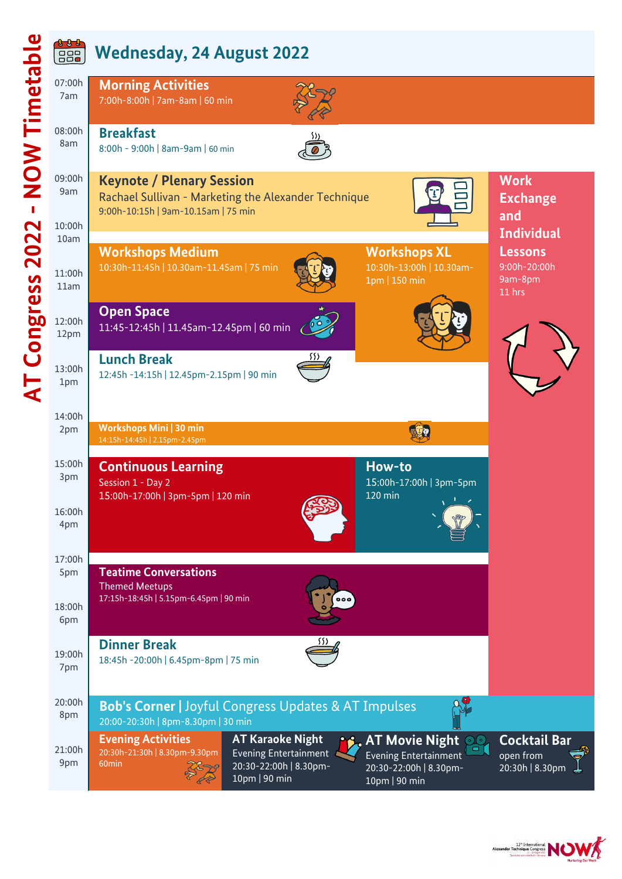

 $0 - 0 - 0$ 

#### **Wednesday, 24 August 2022** 88



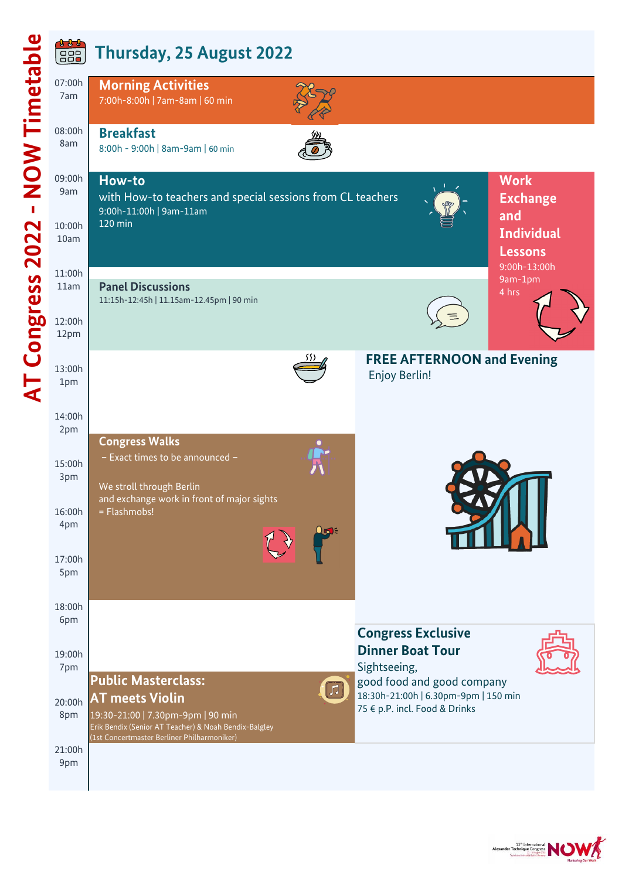07:00h

<u>i j j</u>

#### **Thursday, 25 August 2022** 88

**Morning Activities**



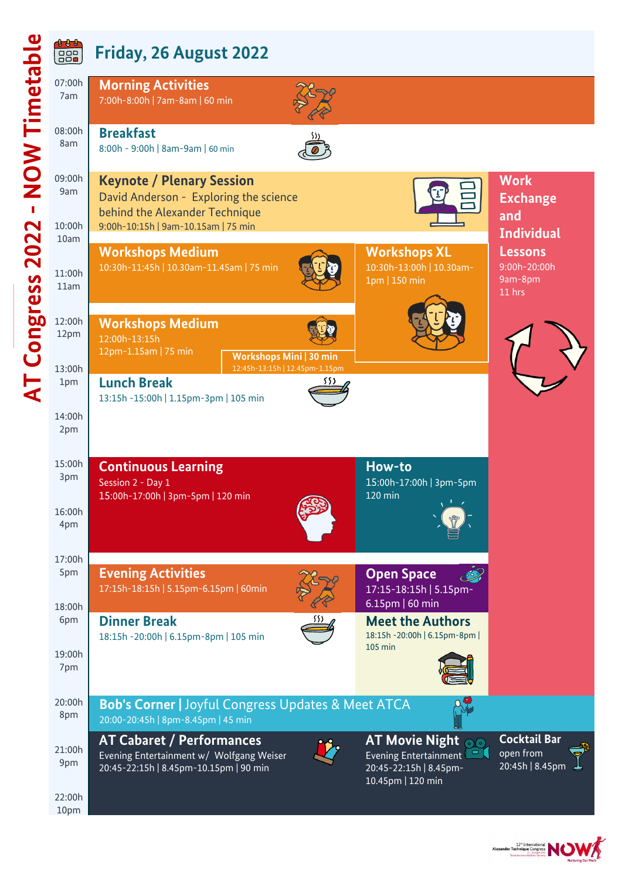|                                        | <u>t t t</u><br>$\boxed{ \begin{smallmatrix} 0 & 0 & 0 \\ 0 & 0 & 0 \\ 0 & 0 & 0 \end{smallmatrix}}$ |                                                                                                                        |     |                                                                                                                                 |                                                     |
|----------------------------------------|------------------------------------------------------------------------------------------------------|------------------------------------------------------------------------------------------------------------------------|-----|---------------------------------------------------------------------------------------------------------------------------------|-----------------------------------------------------|
|                                        | 07:00h<br>7am                                                                                        | <b>Morning Activities</b><br>7:00h-8:00h   7am-8am   60 min                                                            |     |                                                                                                                                 |                                                     |
| <b>NOW Timetable</b><br>$\blacksquare$ | 08:00h<br>8am                                                                                        | <b>Breakfast</b><br>8:00h - 9:00h   8am-9am   60 min                                                                   |     |                                                                                                                                 |                                                     |
|                                        | 09:00h<br>9am                                                                                        | <b>Keynote / Plenary Session</b><br>David Anderson - Exploring the science<br>behind the Alexander Technique           |     |                                                                                                                                 | <b>Work</b><br><b>Exchange</b>                      |
| $\mathbf{\Omega}$                      | 10:00h<br>10am                                                                                       | 9:00h-10:15h   9am-10.15am   75 min                                                                                    |     |                                                                                                                                 | and<br><b>Individual</b>                            |
| <b>AT Congress 202</b>                 | 11:00h<br>11am                                                                                       | <b>Workshops Medium</b><br>10:30h-11:45h   10.30am-11.45am   75 min                                                    |     | <b>Workshops XL</b><br>10:30h-13:00h   10.30am-<br>1pm   150 min                                                                | <b>Lessons</b><br>9:00h-20:00h<br>9am-8pm<br>11 hrs |
|                                        | 12:00h<br>12pm                                                                                       | <b>Workshops Medium</b><br>12:00h-13:15h<br>12pm-1.15am   75 min<br>Workshops Mini   30 min                            |     |                                                                                                                                 |                                                     |
|                                        | 13:00h<br>1pm                                                                                        | 12:45h-13:15h   12.45pm-1.15pm<br><b>Lunch Break</b><br>13:15h -15:00h   1.15pm-3pm   105 min                          | 532 |                                                                                                                                 |                                                     |
|                                        | 14:00h<br>2pm                                                                                        |                                                                                                                        |     |                                                                                                                                 |                                                     |
|                                        | 15:00h<br>3pm                                                                                        | <b>Continuous Learning</b><br>Session 2 - Day 1<br>15:00h-17:00h   3pm-5pm   120 min                                   |     | How-to<br>15:00h-17:00h   3pm-5pm<br>120 min                                                                                    |                                                     |
|                                        | 16:00h<br>4pm                                                                                        |                                                                                                                        |     |                                                                                                                                 |                                                     |
|                                        | 17:00h<br>5pm                                                                                        | <b>Evening Activities</b><br>17:15h-18:15h   5.15pm-6.15pm   60min                                                     |     | <b>Open Space</b><br>17:15-18:15h   5.15pm-                                                                                     |                                                     |
|                                        | 18:00h<br>6pm                                                                                        | <b>Dinner Break</b><br>18:15h - 20:00h   6.15pm-8pm   105 min                                                          |     | $6.15$ pm   60 min<br><b>Meet the Authors</b><br>18:15h - 20:00h   6.15pm-8pm  <br>105 min                                      |                                                     |
|                                        | 19:00h<br>7pm                                                                                        |                                                                                                                        |     |                                                                                                                                 |                                                     |
|                                        | 20:00h<br>8pm                                                                                        | <b>Bob's Corner   Joyful Congress Updates &amp; Meet ATCA</b><br>20:00-20:45h   8pm-8.45pm   45 min                    |     |                                                                                                                                 |                                                     |
|                                        | 21:00h<br>9pm                                                                                        | <b>AT Cabaret / Performances</b><br>Evening Entertainment w/ Wolfgang Weiser<br>20:45-22:15h   8.45pm-10.15pm   90 min |     | <b>AT Movie Night</b><br>$\odot$<br>Evening Entertainment <sup>1</sup><br>$\Box$<br>20:45-22:15h   8.45pm-<br>10.45pm   120 min | <b>Cocktail Bar</b><br>open from<br>20:45h   8.45pm |
|                                        | 22:00h<br>10pm                                                                                       |                                                                                                                        |     |                                                                                                                                 |                                                     |

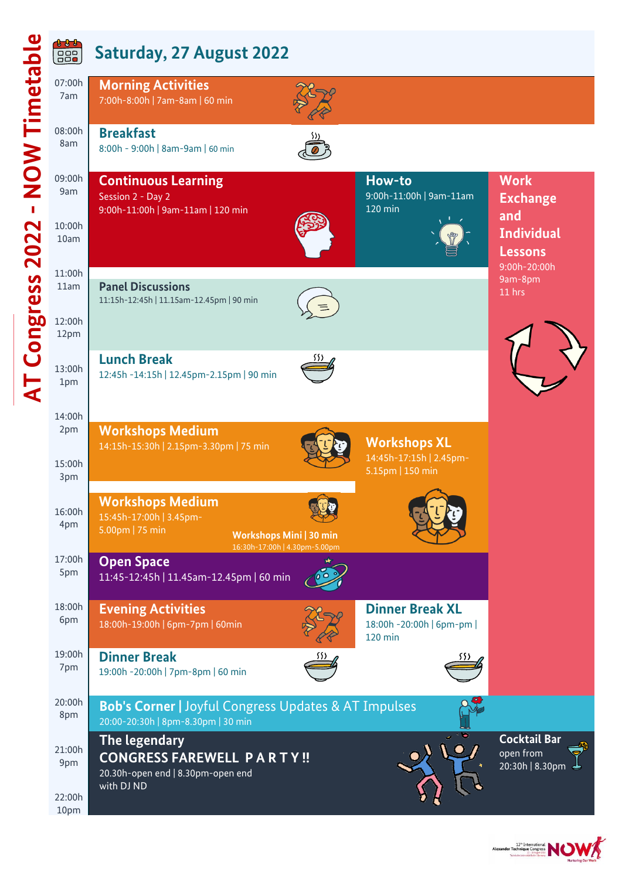### **Saturday, 27 August 2022**



| 07:00h<br>7am  | <b>Morning Activities</b><br>7:00h-8:00h   7am-8am   60 min                                           |                                                                        |                                                       |
|----------------|-------------------------------------------------------------------------------------------------------|------------------------------------------------------------------------|-------------------------------------------------------|
| 08:00h<br>8am  | <b>Breakfast</b><br>8:00h - 9:00h   8am-9am   60 min                                                  |                                                                        |                                                       |
| 09:00h<br>9am  | <b>Continuous Learning</b><br>Session 2 - Day 2<br>9:00h-11:00h   9am-11am   120 min                  | How-to<br>9:00h-11:00h   9am-11am<br>120 min                           | <b>Work</b><br><b>Exchange</b><br>and                 |
| 10:00h<br>10am |                                                                                                       |                                                                        | <b>Individual</b><br><b>Lessons</b>                   |
| 11:00h         |                                                                                                       |                                                                        | 9:00h-20:00h<br>9am-8pm                               |
| 11am           | <b>Panel Discussions</b><br>11:15h-12:45h   11.15am-12.45pm   90 min                                  |                                                                        | 11 hrs                                                |
| 12:00h<br>12pm |                                                                                                       |                                                                        |                                                       |
| 13:00h<br>1pm  | <b>Lunch Break</b><br>12:45h -14:15h   12.45pm-2.15pm   90 min                                        |                                                                        |                                                       |
| 14:00h         |                                                                                                       |                                                                        |                                                       |
| 2pm            | <b>Workshops Medium</b>                                                                               |                                                                        |                                                       |
| 15:00h<br>3pm  | 14:15h-15:30h   2.15pm-3.30pm   75 min                                                                | <b>Workshops XL</b><br>14:45h-17:15h   2.45pm-<br>5.15pm   150 min     |                                                       |
|                | <b>Workshops Medium</b>                                                                               |                                                                        |                                                       |
| 16:00h<br>4pm  | 15:45h-17:00h   3.45pm-                                                                               |                                                                        |                                                       |
|                | 5.00pm   75 min<br><b>Workshops Mini   30 min</b><br>16:30h-17:00h   4.30pm-5.00pm                    |                                                                        |                                                       |
| 17:00h<br>5pm  | <b>Open Space</b><br>11:45-12:45h   11.45am-12.45pm   60 min                                          |                                                                        |                                                       |
|                |                                                                                                       |                                                                        |                                                       |
| 18:00h<br>6pm  | <b>Evening Activities</b><br>18:00h-19:00h   6pm-7pm   60min                                          | <b>Dinner Break XL</b><br>18:00h - 20:00h   6pm-pm  <br><b>120 min</b> |                                                       |
| 19:00h         | <b>Dinner Break</b>                                                                                   |                                                                        |                                                       |
| 7pm            | 19:00h -20:00h   7pm-8pm   60 min                                                                     |                                                                        |                                                       |
| 20:00h<br>8pm  | <b>Bob's Corner   Joyful Congress Updates &amp; AT Impulses</b><br>20:00-20:30h   8pm-8.30pm   30 min |                                                                        |                                                       |
| 21:00h<br>9pm  | The legendary<br><b>CONGRESS FAREWELL PARTY!!</b><br>20.30h-open end   8.30pm-open end                |                                                                        | <b>Cocktail Bar</b><br>open from<br>20:30h   8.30pm < |
|                | with DJ ND                                                                                            |                                                                        |                                                       |
| 22:00h<br>10pm |                                                                                                       |                                                                        |                                                       |